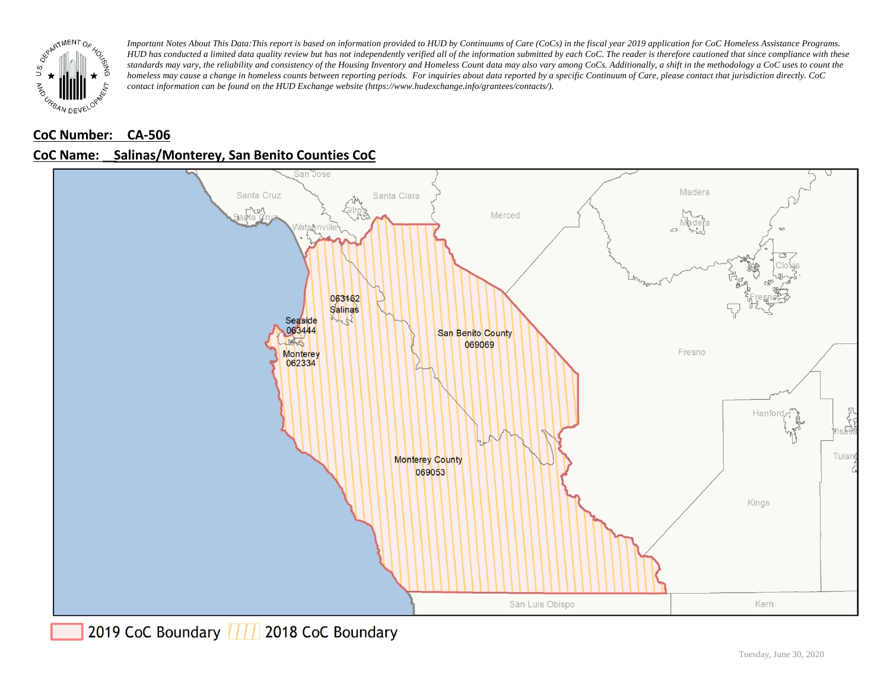

### **CoC Number: CA-506**



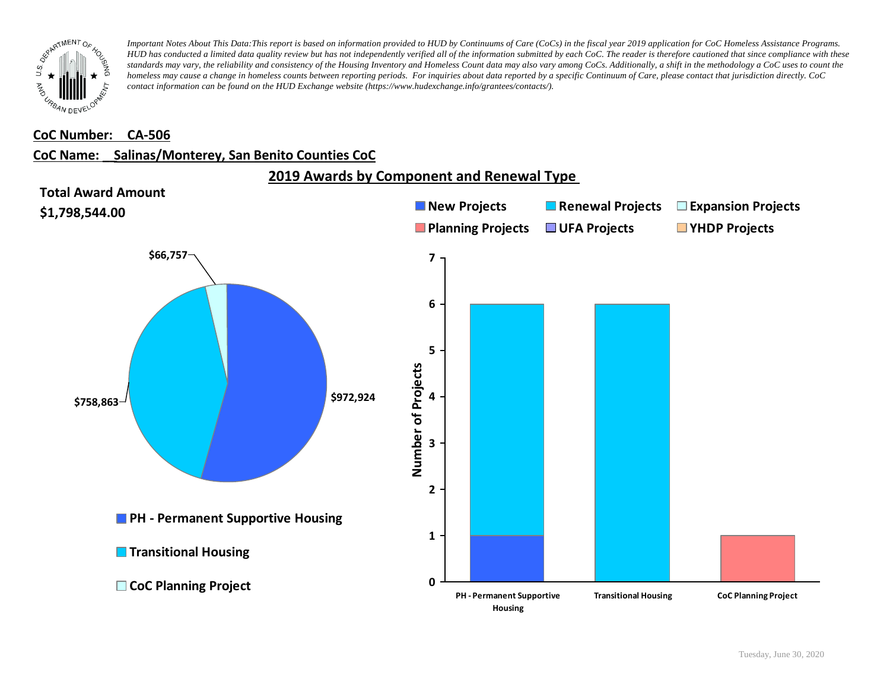

#### **CoC Number: CA-506**

#### **CoC Name: \_\_ Salinas/Monterey, San Benito Counties CoC**

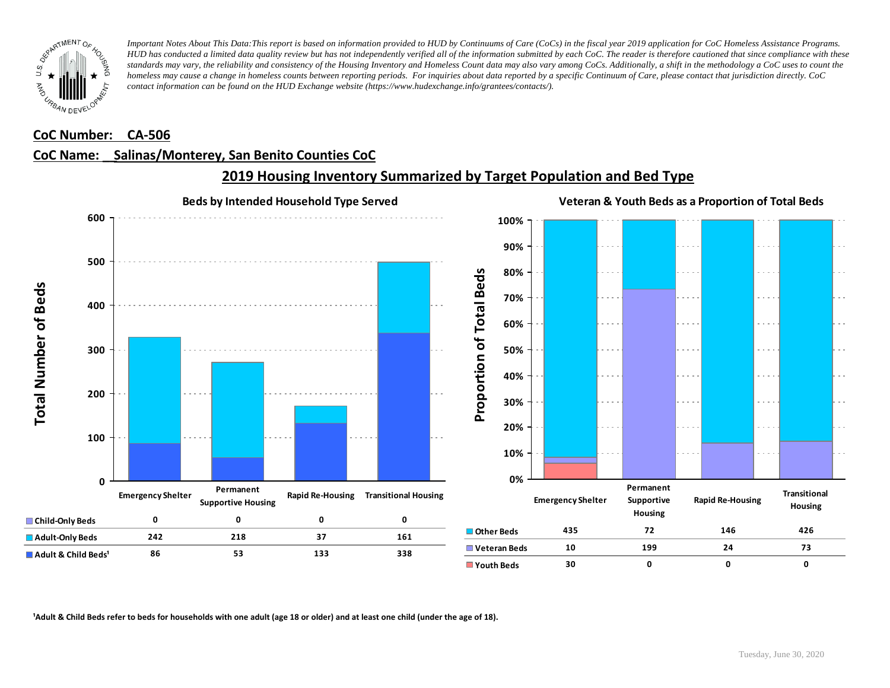

#### **CoC Number: CA-506**

#### **CoC Name: \_\_ Salinas/Monterey, San Benito Counties CoC**



## **2019 Housing Inventory Summarized by Target Population and Bed Type**

<sup>1</sup> Adult & Child Beds refer to beds for households with one adult (age 18 or older) and at least one child (under the age of 18).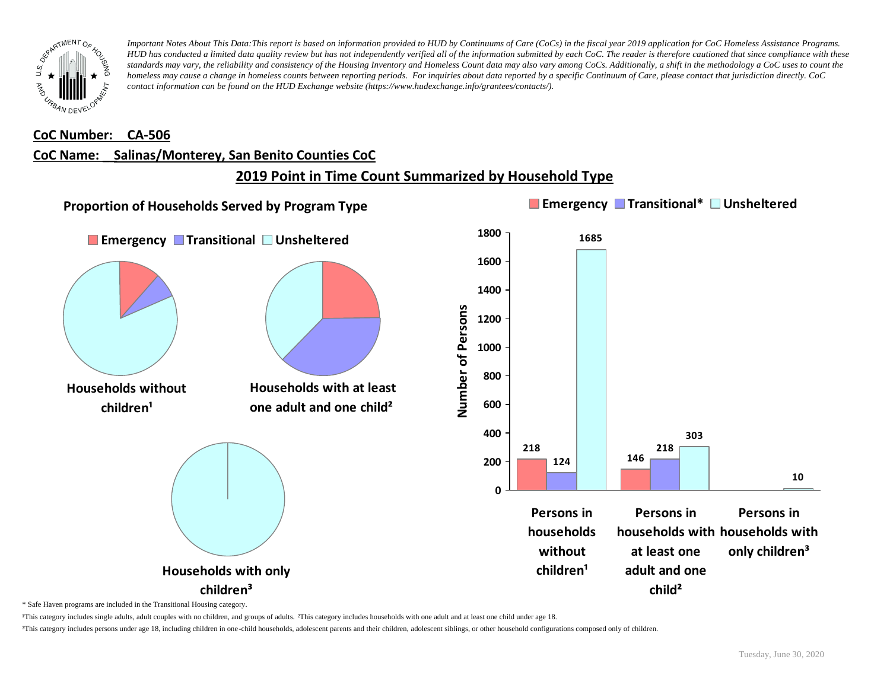

#### **CoC Number: CA-506**

### **CoC Name: \_\_ Salinas/Monterey, San Benito Counties CoC**

## **2019 Point in Time Count Summarized by Household Type**



\* Safe Haven programs are included in the Transitional Housing category.

¹This category includes single adults, adult couples with no children, and groups of adults. ²This category includes households with one adult and at least one child under age 18.

³This category includes persons under age 18, including children in one-child households, adolescent parents and their children, adolescent siblings, or other household configurations composed only of children.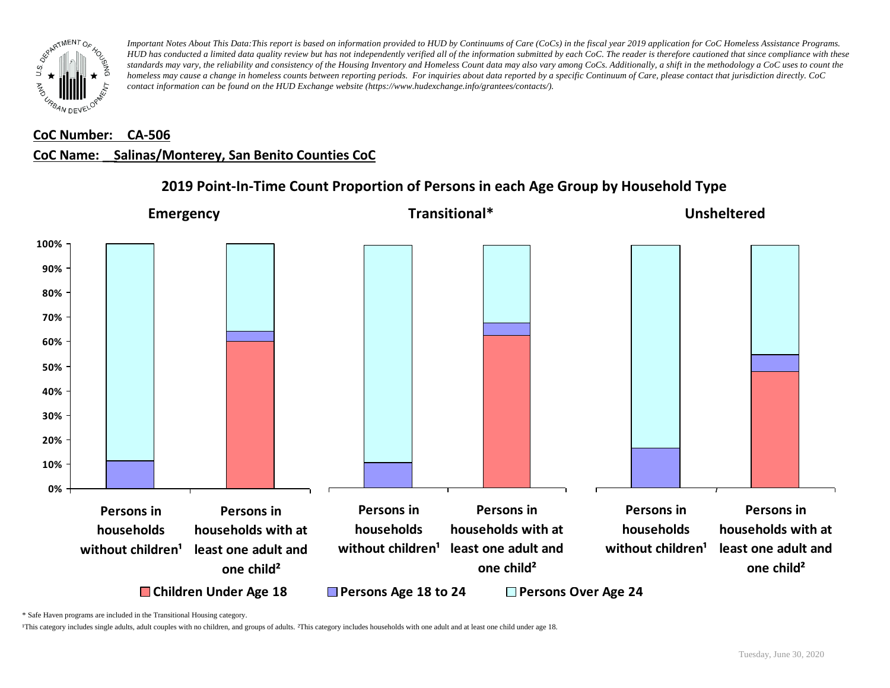

## **CoC Number: CA-506**

#### **CoC Name: \_\_ Salinas/Monterey, San Benito Counties CoC**



### **2019 Point-In-Time Count Proportion of Persons in each Age Group by Household Type**

\* Safe Haven programs are included in the Transitional Housing category.

¹This category includes single adults, adult couples with no children, and groups of adults. ²This category includes households with one adult and at least one child under age 18.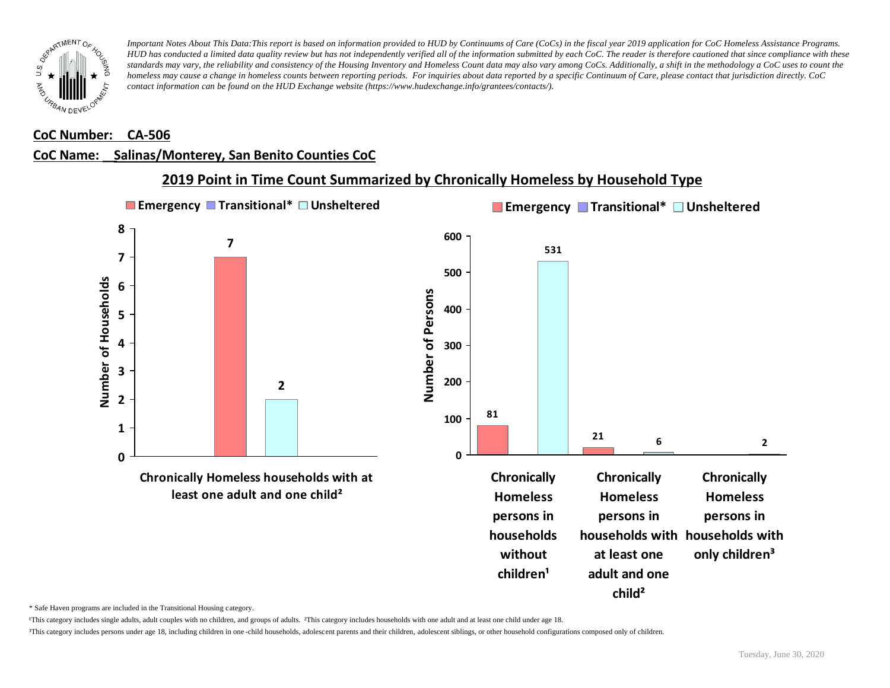

#### **CoC Number: CA-506**

## **CoC Name: \_\_ Salinas/Monterey, San Benito Counties CoC**



\* Safe Haven programs are included in the Transitional Housing category.

¹This category includes single adults, adult couples with no children, and groups of adults. ²This category includes households with one adult and at least one child under age 18.

³This category includes persons under age 18, including children in one -child households, adolescent parents and their children, adolescent siblings, or other household configurations composed only of children.

**child²**